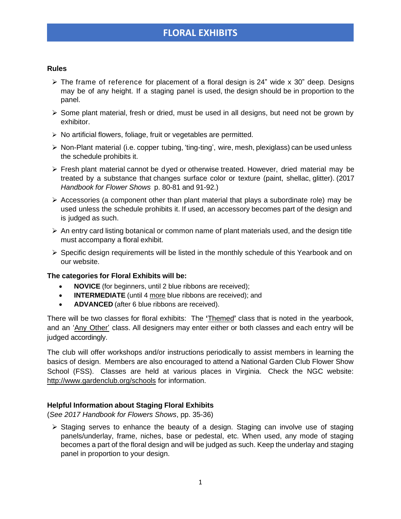# **FLORAL EXHIBITS**

#### **Rules**

- $\triangleright$  The frame of reference for placement of a floral design is 24" wide x 30" deep. Designs may be of any height. If a staging panel is used, the design should be in proportion to the panel.
- $\triangleright$  Some plant material, fresh or dried, must be used in all designs, but need not be grown by exhibitor.
- ➢ No artificial flowers, foliage, fruit or vegetables are permitted.
- ➢ Non-Plant material (i.e. copper tubing, 'ting-ting', wire, mesh, plexiglass) can be used unless the schedule prohibits it.
- ➢ Fresh plant material cannot be dyed or otherwise treated. However, dried material may be treated by a substance that changes surface color or texture (paint, shellac, glitter). (2017 *Handbook for Flower Shows* p. 80-81 and 91-92.)
- $\triangleright$  Accessories (a component other than plant material that plays a subordinate role) may be used unless the schedule prohibits it. If used, an accessory becomes part of the design and is judged as such.
- $\triangleright$  An entry card listing botanical or common name of plant materials used, and the design title must accompany a floral exhibit.
- $\triangleright$  Specific design requirements will be listed in the monthly schedule of this Yearbook and on our website.

#### **The categories for Floral Exhibits will be:**

- **NOVICE** (for beginners, until 2 blue ribbons are received);
- **INTERMEDIATE** (until 4 more blue ribbons are received); and
- **ADVANCED** (after 6 blue ribbons are received).

There will be two classes for floral exhibits: The **'**Themed**'** class that is noted in the yearbook, and an 'Any Other' class. All designers may enter either or both classes and each entry will be judged accordingly.

The club will offer workshops and/or instructions periodically to assist members in learning the basics of design. Members are also encouraged to attend a National Garden Club Flower Show School (FSS). Classes are held at various places in Virginia. Check the NGC website: http://www.gardenclub.org/schools for information.

### **Helpful Information about Staging Floral Exhibits**

(*See 2017 Handbook for Flowers Shows*, pp. 35-36)

 $\triangleright$  Staging serves to enhance the beauty of a design. Staging can involve use of staging panels/underlay, frame, niches, base or pedestal, etc. When used, any mode of staging becomes a part of the floral design and will be judged as such. Keep the underlay and staging panel in proportion to your design.